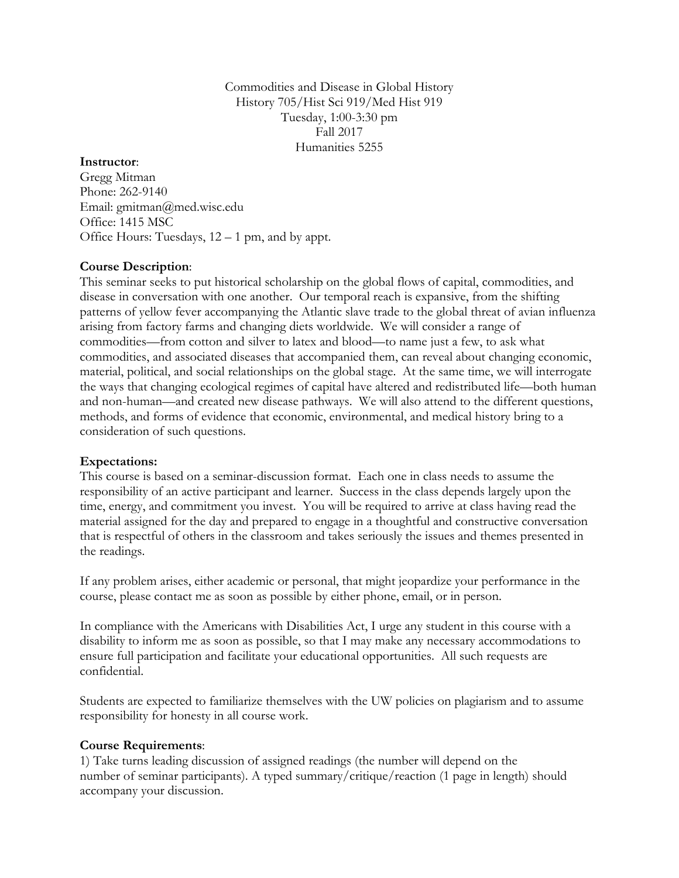Commodities and Disease in Global History History 705/Hist Sci 919/Med Hist 919 Tuesday, 1:00-3:30 pm Fall 2017 Humanities 5255

## **Instructor**:

Gregg Mitman Phone: 262-9140 Email: gmitman@med.wisc.edu Office: 1415 MSC Office Hours: Tuesdays, 12 – 1 pm, and by appt.

## **Course Description**:

This seminar seeks to put historical scholarship on the global flows of capital, commodities, and disease in conversation with one another. Our temporal reach is expansive, from the shifting patterns of yellow fever accompanying the Atlantic slave trade to the global threat of avian influenza arising from factory farms and changing diets worldwide. We will consider a range of commodities—from cotton and silver to latex and blood—to name just a few, to ask what commodities, and associated diseases that accompanied them, can reveal about changing economic, material, political, and social relationships on the global stage. At the same time, we will interrogate the ways that changing ecological regimes of capital have altered and redistributed life—both human and non-human—and created new disease pathways. We will also attend to the different questions, methods, and forms of evidence that economic, environmental, and medical history bring to a consideration of such questions.

#### **Expectations:**

This course is based on a seminar-discussion format. Each one in class needs to assume the responsibility of an active participant and learner. Success in the class depends largely upon the time, energy, and commitment you invest. You will be required to arrive at class having read the material assigned for the day and prepared to engage in a thoughtful and constructive conversation that is respectful of others in the classroom and takes seriously the issues and themes presented in the readings.

If any problem arises, either academic or personal, that might jeopardize your performance in the course, please contact me as soon as possible by either phone, email, or in person.

In compliance with the Americans with Disabilities Act, I urge any student in this course with a disability to inform me as soon as possible, so that I may make any necessary accommodations to ensure full participation and facilitate your educational opportunities. All such requests are confidential.

Students are expected to familiarize themselves with the UW policies on plagiarism and to assume responsibility for honesty in all course work.

#### **Course Requirements**:

1) Take turns leading discussion of assigned readings (the number will depend on the number of seminar participants). A typed summary/critique/reaction (1 page in length) should accompany your discussion.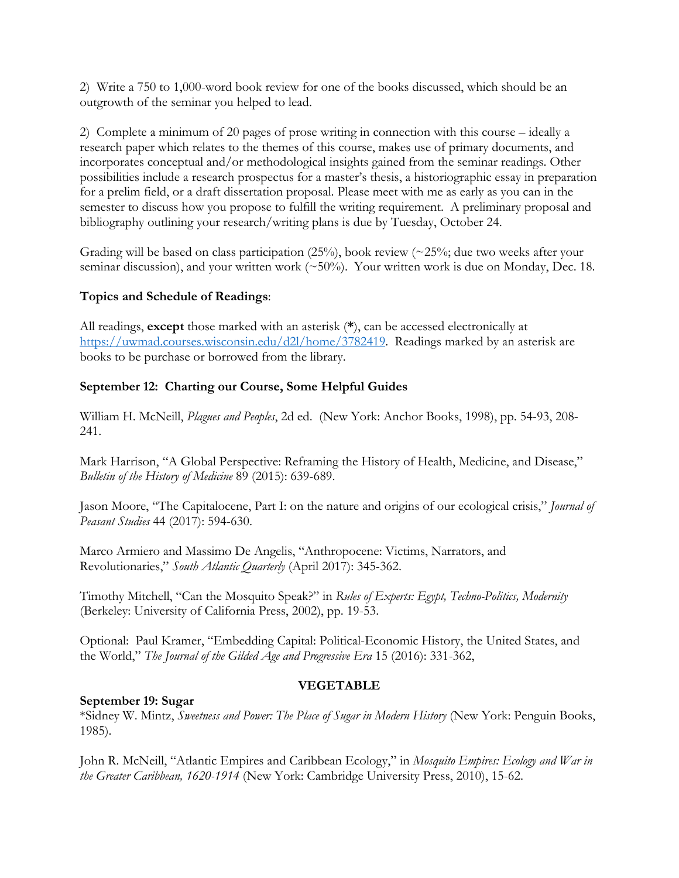2) Write a 750 to 1,000-word book review for one of the books discussed, which should be an outgrowth of the seminar you helped to lead.

2) Complete a minimum of 20 pages of prose writing in connection with this course – ideally a research paper which relates to the themes of this course, makes use of primary documents, and incorporates conceptual and/or methodological insights gained from the seminar readings. Other possibilities include a research prospectus for a master's thesis, a historiographic essay in preparation for a prelim field, or a draft dissertation proposal. Please meet with me as early as you can in the semester to discuss how you propose to fulfill the writing requirement. A preliminary proposal and bibliography outlining your research/writing plans is due by Tuesday, October 24.

Grading will be based on class participation  $(25\%)$ , book review  $(\sim 25\%)$ ; due two weeks after your seminar discussion), and your written work (~50%). Your written work is due on Monday, Dec. 18.

# **Topics and Schedule of Readings**:

All readings, **except** those marked with an asterisk (**\***), can be accessed electronically at https://uwmad.courses.wisconsin.edu/d2l/home/3782419. Readings marked by an asterisk are books to be purchase or borrowed from the library.

# **September 12: Charting our Course, Some Helpful Guides**

William H. McNeill, *Plagues and Peoples*, 2d ed. (New York: Anchor Books, 1998), pp. 54-93, 208- 241.

Mark Harrison, "A Global Perspective: Reframing the History of Health, Medicine, and Disease," *Bulletin of the History of Medicine* 89 (2015): 639-689.

Jason Moore, "The Capitalocene, Part I: on the nature and origins of our ecological crisis," *Journal of Peasant Studies* 44 (2017): 594-630.

Marco Armiero and Massimo De Angelis, "Anthropocene: Victims, Narrators, and Revolutionaries," *South Atlantic Quarterly* (April 2017): 345-362.

Timothy Mitchell, "Can the Mosquito Speak?" in *Rules of Experts: Egypt, Techno-Politics, Modernity* (Berkeley: University of California Press, 2002), pp. 19-53.

Optional: Paul Kramer, "Embedding Capital: Political-Economic History, the United States, and the World," *The Journal of the Gilded Age and Progressive Era* 15 (2016): 331-362,

## **VEGETABLE**

## **September 19: Sugar**

\*Sidney W. Mintz, *Sweetness and Power: The Place of Sugar in Modern History* (New York: Penguin Books, 1985).

John R. McNeill, "Atlantic Empires and Caribbean Ecology," in *Mosquito Empires: Ecology and War in the Greater Caribbean, 1620-1914* (New York: Cambridge University Press, 2010), 15-62.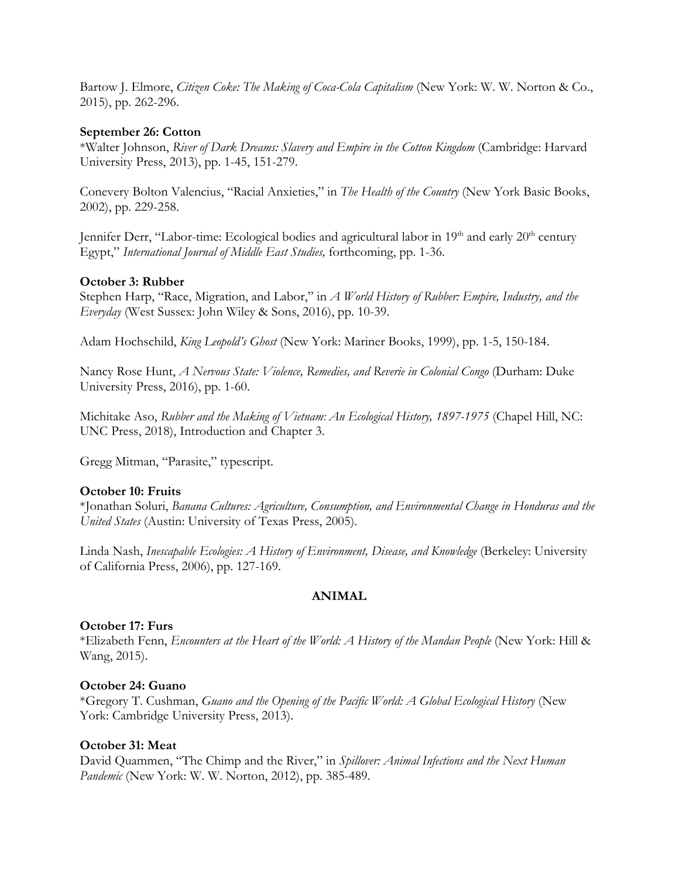Bartow J. Elmore, *Citizen Coke: The Making of Coca-Cola Capitalism* (New York: W. W. Norton & Co., 2015), pp. 262-296.

### **September 26: Cotton**

\*Walter Johnson, *River of Dark Dreams: Slavery and Empire in the Cotton Kingdom* (Cambridge: Harvard University Press, 2013), pp. 1-45, 151-279.

Conevery Bolton Valencius, "Racial Anxieties," in *The Health of the Country* (New York Basic Books, 2002), pp. 229-258.

Jennifer Derr, "Labor-time: Ecological bodies and agricultural labor in 19<sup>th</sup> and early 20<sup>th</sup> century Egypt," *International Journal of Middle East Studies,* forthcoming, pp. 1-36.

## **October 3: Rubber**

Stephen Harp, "Race, Migration, and Labor," in *A World History of Rubber: Empire, Industry, and the Everyday* (West Sussex: John Wiley & Sons, 2016), pp. 10-39.

Adam Hochschild, *King Leopold's Ghost* (New York: Mariner Books, 1999), pp. 1-5, 150-184.

Nancy Rose Hunt, *A Nervous State: Violence, Remedies, and Reverie in Colonial Congo* (Durham: Duke University Press, 2016), pp. 1-60.

Michitake Aso, *Rubber and the Making of Vietnam: An Ecological History, 1897-1975* (Chapel Hill, NC: UNC Press, 2018), Introduction and Chapter 3.

Gregg Mitman, "Parasite," typescript.

## **October 10: Fruits**

\*Jonathan Soluri, *Banana Cultures: Agriculture, Consumption, and Environmental Change in Honduras and the United States* (Austin: University of Texas Press, 2005).

Linda Nash, *Inescapable Ecologies: A History of Environment, Disease, and Knowledge* (Berkeley: University of California Press, 2006), pp. 127-169.

#### **ANIMAL**

#### **October 17: Furs**

\*Elizabeth Fenn, *Encounters at the Heart of the World: A History of the Mandan People* (New York: Hill & Wang, 2015).

## **October 24: Guano**

\*Gregory T. Cushman, *Guano and the Opening of the Pacific World: A Global Ecological History* (New York: Cambridge University Press, 2013).

## **October 31: Meat**

David Quammen, "The Chimp and the River," in *Spillover: Animal Infections and the Next Human Pandemic* (New York: W. W. Norton, 2012), pp. 385-489.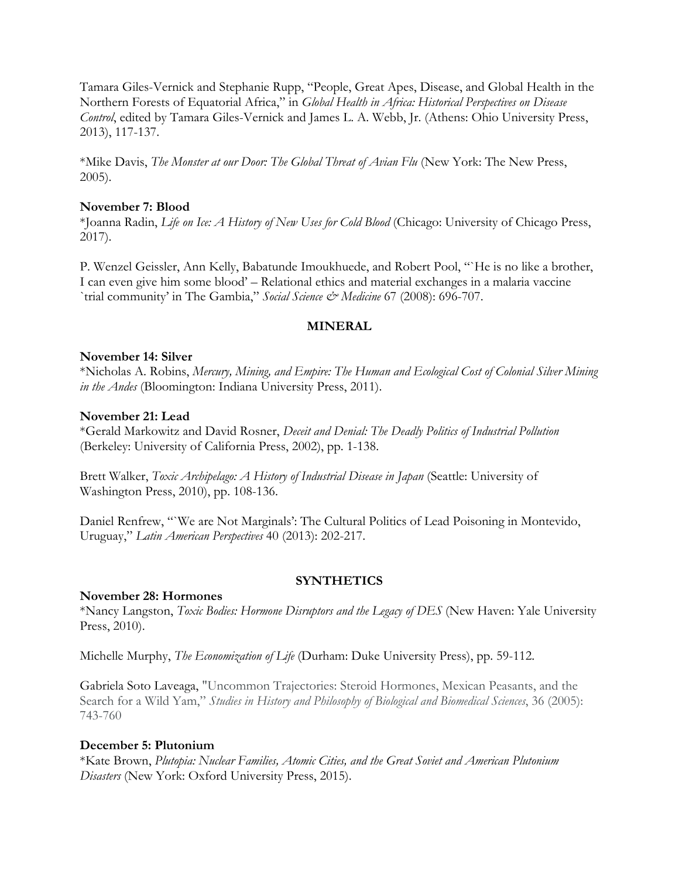Tamara Giles-Vernick and Stephanie Rupp, "People, Great Apes, Disease, and Global Health in the Northern Forests of Equatorial Africa," in *Global Health in Africa: Historical Perspectives on Disease Control*, edited by Tamara Giles-Vernick and James L. A. Webb, Jr. (Athens: Ohio University Press, 2013), 117-137.

\*Mike Davis, *The Monster at our Door: The Global Threat of Avian Flu* (New York: The New Press, 2005).

### **November 7: Blood**

\*Joanna Radin, *Life on Ice: A History of New Uses for Cold Blood* (Chicago: University of Chicago Press, 2017).

P. Wenzel Geissler, Ann Kelly, Babatunde Imoukhuede, and Robert Pool, "`He is no like a brother, I can even give him some blood' – Relational ethics and material exchanges in a malaria vaccine `trial community' in The Gambia," *Social Science & Medicine* 67 (2008): 696-707.

## **MINERAL**

## **November 14: Silver**

\*Nicholas A. Robins, *Mercury, Mining, and Empire: The Human and Ecological Cost of Colonial Silver Mining in the Andes* (Bloomington: Indiana University Press, 2011).

### **November 21: Lead**

\*Gerald Markowitz and David Rosner, *Deceit and Denial: The Deadly Politics of Industrial Pollution*  (Berkeley: University of California Press, 2002), pp. 1-138.

Brett Walker, *Toxic Archipelago: A History of Industrial Disease in Japan* (Seattle: University of Washington Press, 2010), pp. 108-136.

Daniel Renfrew, "`We are Not Marginals': The Cultural Politics of Lead Poisoning in Montevido, Uruguay," *Latin American Perspectives* 40 (2013): 202-217.

## **SYNTHETICS**

#### **November 28: Hormones**

\*Nancy Langston, *Toxic Bodies: Hormone Disruptors and the Legacy of DES* (New Haven: Yale University Press, 2010).

Michelle Murphy, *The Economization of Life* (Durham: Duke University Press), pp. 59-112.

Gabriela Soto Laveaga, "Uncommon Trajectories: Steroid Hormones, Mexican Peasants, and the Search for a Wild Yam," *Studies in History and Philosophy of Biological and Biomedical Sciences*, 36 (2005): 743-760

## **December 5: Plutonium**

\*Kate Brown, *Plutopia: Nuclear Families, Atomic Cities, and the Great Soviet and American Plutonium Disasters* (New York: Oxford University Press, 2015).